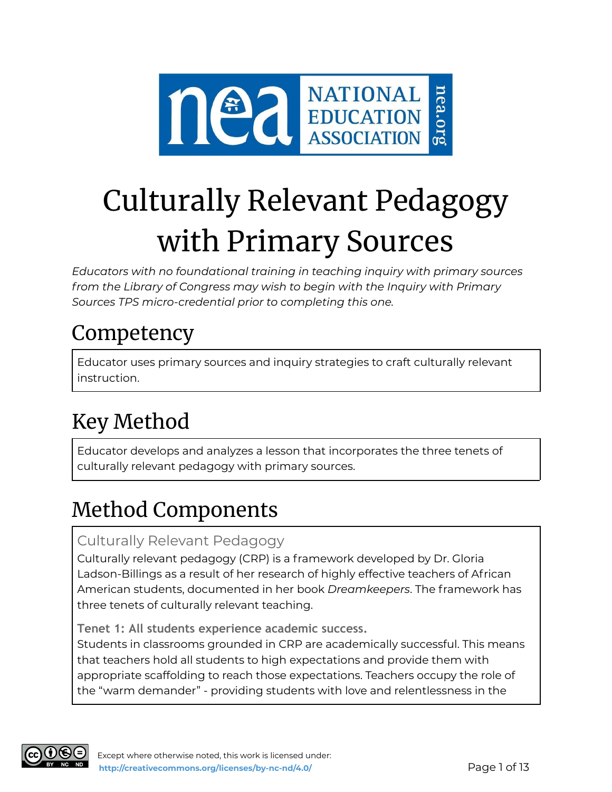

## Culturally Relevant Pedagogy with Primary Sources

*Educators with no foundational training in teaching inquiry with primary sources from the Library of Congress may wish to begin with the Inquiry with Primary Sources TPS micro-credential prior to completing this one.*

### Competency

Educator uses primary sources and inquiry strategies to craft culturally relevant instruction.

### Key Method

Educator develops and analyzes a lesson that incorporates the three tenets of culturally relevant pedagogy with primary sources.

### Method Components

#### Culturally Relevant Pedagogy

Culturally relevant pedagogy (CRP) is a framework developed by Dr. Gloria Ladson-Billings as a result of her research of highly effective teachers of African American students, documented in her book *Dreamkeepers*. The framework has three tenets of culturally relevant teaching.

**Tenet 1: All students experience academic success.**

Students in classrooms grounded in CRP are academically successful. This means that teachers hold all students to high expectations and provide them with appropriate scaffolding to reach those expectations. Teachers occupy the role of the "warm demander" - providing students with love and relentlessness in the

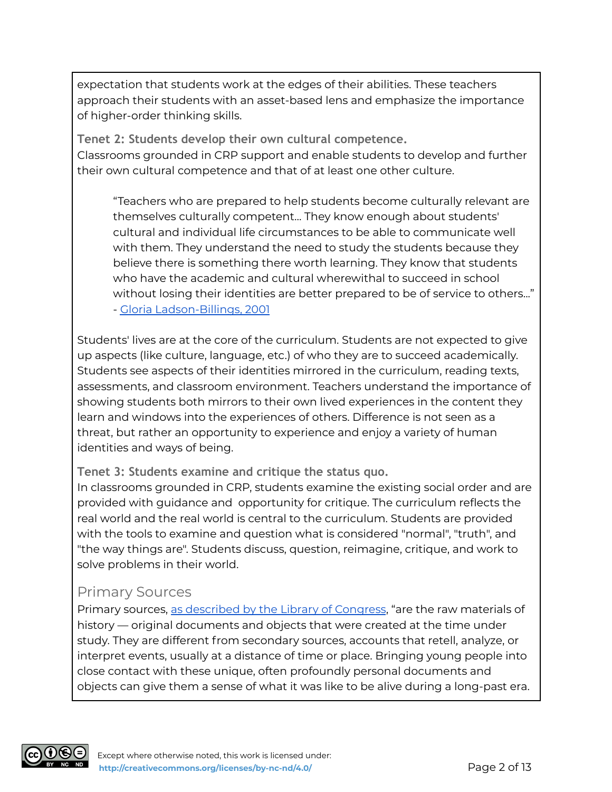expectation that students work at the edges of their abilities. These teachers approach their students with an asset-based lens and emphasize the importance of higher-order thinking skills.

**Tenet 2: Students develop their own cultural competence.** Classrooms grounded in CRP support and enable students to develop and further their own cultural competence and that of at least one other culture.

"Teachers who are prepared to help students become culturally relevant are themselves culturally competent... They know enough about students' cultural and individual life circumstances to be able to communicate well with them. They understand the need to study the students because they believe there is something there worth learning. They know that students who have the academic and cultural wherewithal to succeed in school without losing their identities are better prepared to be of service to others..." - Gloria [Ladson-Billings,](https://rethinkingschools.org/articles/teaching-and-cultural-competence/) 2001

Students' lives are at the core of the curriculum. Students are not expected to give up aspects (like culture, language, etc.) of who they are to succeed academically. Students see aspects of their identities mirrored in the curriculum, reading texts, assessments, and classroom environment. Teachers understand the importance of showing students both mirrors to their own lived experiences in the content they learn and windows into the experiences of others. Difference is not seen as a threat, but rather an opportunity to experience and enjoy a variety of human identities and ways of being.

**Tenet 3: Students examine and critique the status quo.**

In classrooms grounded in CRP, students examine the existing social order and are provided with guidance and opportunity for critique. The curriculum reflects the real world and the real world is central to the curriculum. Students are provided with the tools to examine and question what is considered "normal", "truth", and "the way things are". Students discuss, question, reimagine, critique, and work to solve problems in their world.

#### Primary Sources

Primary sources, as [described](https://www.loc.gov/programs/teachers/getting-started-with-primary-sources/) by the Library of Congress, "are the raw materials of history — original documents and objects that were created at the time under study. They are different from secondary sources, accounts that retell, analyze, or interpret events, usually at a distance of time or place. Bringing young people into close contact with these unique, often profoundly personal documents and objects can give them a sense of what it was like to be alive during a long-past era.

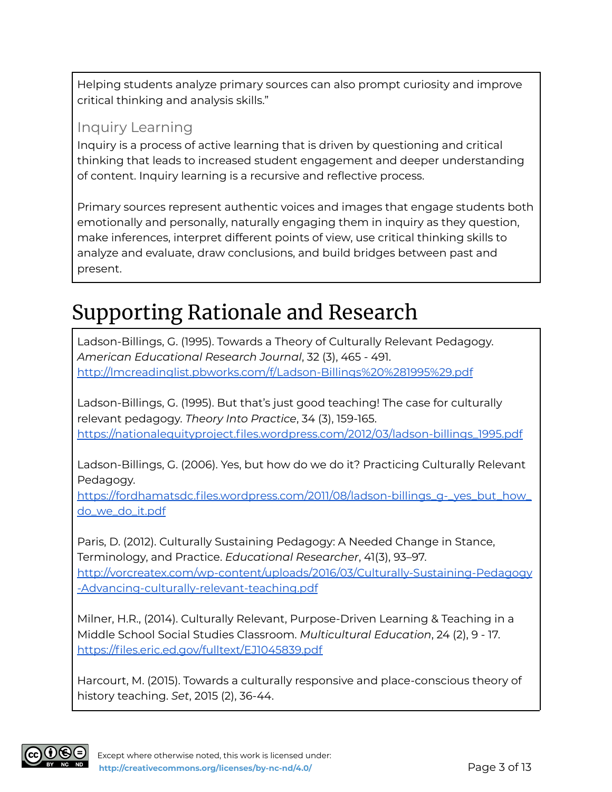Helping students analyze primary sources can also prompt curiosity and improve critical thinking and analysis skills."

#### Inquiry Learning

Inquiry is a process of active learning that is driven by questioning and critical thinking that leads to increased student engagement and deeper understanding of content. Inquiry learning is a recursive and reflective process.

Primary sources represent authentic voices and images that engage students both emotionally and personally, naturally engaging them in inquiry as they question, make inferences, interpret different points of view, use critical thinking skills to analyze and evaluate, draw conclusions, and build bridges between past and present.

### Supporting Rationale and Research

Ladson-Billings, G. (1995). Towards a Theory of Culturally Relevant Pedagogy. *American Educational Research Journal*, 32 (3), 465 - 491. <http://lmcreadinglist.pbworks.com/f/Ladson-Billings%20%281995%29.pdf>

Ladson-Billings, G. (1995). But that's just good teaching! The case for culturally relevant pedagogy. *Theory Into Practice*, 34 (3), 159-165. [https://nationalequityproject.files.wordpress.com/2012/03/ladson-billings\\_1995.pdf](https://nationalequityproject.files.wordpress.com/2012/03/ladson-billings_1995.pdf)

Ladson-Billings, G. (2006). Yes, but how do we do it? Practicing Culturally Relevant Pedagogy.

https://fordhamatsdc.files.wordpress.com/2011/08/ladson-billings\_q-\_yes\_but\_how\_ [do\\_we\\_do\\_it.pdf](https://fordhamatsdc.files.wordpress.com/2011/08/ladson-billings_g-_yes_but_how_do_we_do_it.pdf)

Paris, D. (2012). Culturally Sustaining Pedagogy: A Needed Change in Stance, Terminology, and Practice. *Educational Researcher*, 41(3), 93–97. [http://vorcreatex.com/wp-content/uploads/2016/03/Culturally-Sustaining-Pedagogy](http://vorcreatex.com/wp-content/uploads/2016/03/Culturally-Sustaining-Pedagogy-Advancing-culturally-relevant-teaching.pdf) [-Advancing-culturally-relevant-teaching.pdf](http://vorcreatex.com/wp-content/uploads/2016/03/Culturally-Sustaining-Pedagogy-Advancing-culturally-relevant-teaching.pdf)

Milner, H.R., (2014). Culturally Relevant, Purpose-Driven Learning & Teaching in a Middle School Social Studies Classroom. *Multicultural Education*, 24 (2), 9 - 17. <https://files.eric.ed.gov/fulltext/EJ1045839.pdf>

Harcourt, M. (2015). Towards a culturally responsive and place-conscious theory of history teaching. *Set*, 2015 (2), 36-44.

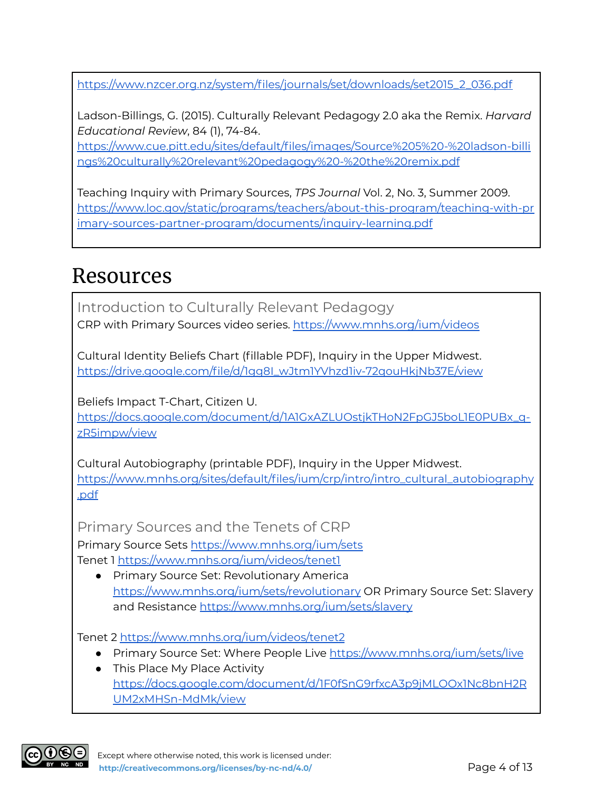[https://www.nzcer.org.nz/system/files/journals/set/downloads/set2015\\_2\\_036.pdf](https://www.nzcer.org.nz/system/files/journals/set/downloads/set2015_2_036.pdf)

Ladson-Billings, G. (2015). Culturally Relevant Pedagogy 2.0 aka the Remix. *Harvard Educational Review*, 84 (1), 74-84.

[https://www.cue.pitt.edu/sites/default/files/images/Source%205%20-%20ladson-billi](https://www.cue.pitt.edu/sites/default/files/images/Source%205%20-%20ladson-billings%20culturally%20relevant%20pedagogy%20-%20the%20remix.pdf) [ngs%20culturally%20relevant%20pedagogy%20-%20the%20remix.pdf](https://www.cue.pitt.edu/sites/default/files/images/Source%205%20-%20ladson-billings%20culturally%20relevant%20pedagogy%20-%20the%20remix.pdf)

Teaching Inquiry with Primary Sources, *TPS Journal* Vol. 2, No. 3, Summer 2009. [https://www.loc.gov/static/programs/teachers/about-this-program/teaching-with-pr](https://www.loc.gov/static/programs/teachers/about-this-program/teaching-with-primary-sources-partner-program/documents/inquiry-learning.pdf) [imary-sources-partner-program/documents/inquiry-learning.pdf](https://www.loc.gov/static/programs/teachers/about-this-program/teaching-with-primary-sources-partner-program/documents/inquiry-learning.pdf)

### Resources

Introduction to Culturally Relevant Pedagogy CRP with Primary Sources video series. <https://www.mnhs.org/ium/videos>

Cultural Identity Beliefs Chart (fillable PDF), Inquiry in the Upper Midwest. [https://drive.google.com/file/d/1gg8I\\_wJtm1YVhzd1iv-72qouHkjNb37E/view](https://drive.google.com/file/d/1gg8I_wJtm1YVhzd1iv-72qouHkjNb37E/view)

Beliefs Impact T-Chart, Citizen U. [https://docs.google.com/document/d/1A1GxAZLUOstjkTHoN2FpGJ5boL1E0PUBx\\_q](https://docs.google.com/document/d/1A1GxAZLUOstjkTHoN2FpGJ5boL1E0PUBx_q-zR5impw/view)[zR5impw/view](https://docs.google.com/document/d/1A1GxAZLUOstjkTHoN2FpGJ5boL1E0PUBx_q-zR5impw/view)

Cultural Autobiography (printable PDF), Inquiry in the Upper Midwest. [https://www.mnhs.org/sites/default/files/ium/crp/intro/intro\\_cultural\\_autobiography](https://www.mnhs.org/sites/default/files/ium/crp/intro/intro_cultural_autobiography.pdf) [.pdf](https://www.mnhs.org/sites/default/files/ium/crp/intro/intro_cultural_autobiography.pdf)

Primary Sources and the Tenets of CRP Primary Source Sets <https://www.mnhs.org/ium/sets> Tenet 1 <https://www.mnhs.org/ium/videos/tenet1>

● Primary Source Set: Revolutionary America <https://www.mnhs.org/ium/sets/revolutionary> OR Primary Source Set: Slavery and Resistance <https://www.mnhs.org/ium/sets/slavery>

Tenet 2 <https://www.mnhs.org/ium/videos/tenet2>

- Primary Source Set: Where People Live <https://www.mnhs.org/ium/sets/live>
- This Place My Place Activity [https://docs.google.com/document/d/1F0fSnG9rfxcA3p9jMLOOx1Nc8bnH2R](https://docs.google.com/document/d/1F0fSnG9rfxcA3p9jMLOOx1Nc8bnH2RUM2xMHSn-MdMk/view) [UM2xMHSn-MdMk/view](https://docs.google.com/document/d/1F0fSnG9rfxcA3p9jMLOOx1Nc8bnH2RUM2xMHSn-MdMk/view)

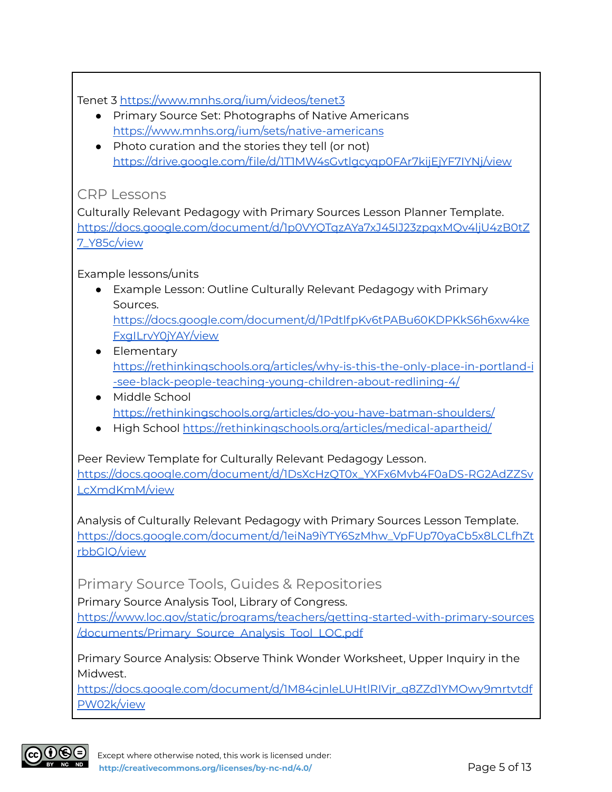Tenet 3 <https://www.mnhs.org/ium/videos/tenet3>

- Primary Source Set: Photographs of Native Americans <https://www.mnhs.org/ium/sets/native-americans>
- Photo curation and the stories they tell (or not) <https://drive.google.com/file/d/1T1MW4sGvtlgcyqp0FAr7kijEjYF7IYNj/view>

#### CRP Lessons

Culturally Relevant Pedagogy with Primary Sources Lesson Planner Template. [https://docs.google.com/document/d/1p0VYQTqzAYa7xJ45IJ23zpqxMQv4ljU4zB0tZ](https://docs.google.com/document/d/1p0VYQTqzAYa7xJ45IJ23zpqxMQv4ljU4zB0tZ7_Y85c/view) [7\\_Y85c/view](https://docs.google.com/document/d/1p0VYQTqzAYa7xJ45IJ23zpqxMQv4ljU4zB0tZ7_Y85c/view)

#### Example lessons/units

● Example Lesson: Outline Culturally Relevant Pedagogy with Primary Sources.

[https://docs.google.com/document/d/1PdtlfpKv6tPABu60KDPKkS6h6xw4ke](https://docs.google.com/document/d/1PdtlfpKv6tPABu60KDPKkS6h6xw4keFxgILrvY0jYAY/view) [FxgILrvY0jYAY/view](https://docs.google.com/document/d/1PdtlfpKv6tPABu60KDPKkS6h6xw4keFxgILrvY0jYAY/view)

- Elementary [https://rethinkingschools.org/articles/why-is-this-the-only-place-in-portland-i](https://rethinkingschools.org/articles/why-is-this-the-only-place-in-portland-i-see-black-people-teaching-young-children-about-redlining-4/) [-see-black-people-teaching-young-children-about-redlining-4/](https://rethinkingschools.org/articles/why-is-this-the-only-place-in-portland-i-see-black-people-teaching-young-children-about-redlining-4/)
- Middle School <https://rethinkingschools.org/articles/do-you-have-batman-shoulders/>
- High School <https://rethinkingschools.org/articles/medical-apartheid/>

Peer Review Template for Culturally Relevant Pedagogy Lesson. [https://docs.google.com/document/d/1DsXcHzQT0x\\_YXFx6Mvb4F0aDS-RG2AdZZSv](https://docs.google.com/document/d/1DsXcHzQT0x_YXFx6Mvb4F0aDS-RG2AdZZSvLcXmdKmM/view) [LcXmdKmM/view](https://docs.google.com/document/d/1DsXcHzQT0x_YXFx6Mvb4F0aDS-RG2AdZZSvLcXmdKmM/view)

Analysis of Culturally Relevant Pedagogy with Primary Sources Lesson Template. [https://docs.google.com/document/d/1eiNa9iYTY6SzMhw\\_VpFUp70yaCb5x8LCLfhZt](https://docs.google.com/document/d/1eiNa9iYTY6SzMhw_VpFUp70yaCb5x8LCLfhZtrbbGlQ/view) [rbbGlQ/view](https://docs.google.com/document/d/1eiNa9iYTY6SzMhw_VpFUp70yaCb5x8LCLfhZtrbbGlQ/view)

#### Primary Source Tools, Guides & Repositories

Primary Source Analysis Tool, Library of Congress.

[https://www.loc.gov/static/programs/teachers/getting-started-with-primary-sources](https://www.loc.gov/static/programs/teachers/getting-started-with-primary-sources/documents/Primary_Source_Analysis_Tool_LOC.pdf) [/documents/Primary\\_Source\\_Analysis\\_Tool\\_LOC.pdf](https://www.loc.gov/static/programs/teachers/getting-started-with-primary-sources/documents/Primary_Source_Analysis_Tool_LOC.pdf)

Primary Source Analysis: Observe Think Wonder Worksheet, Upper Inquiry in the Midwest.

[https://docs.google.com/document/d/1M84cjnleLUHtlRIVjr\\_g8ZZd1YMOwy9mrtvtdf](https://docs.google.com/document/d/1M84cjnleLUHtlRIVjr_g8ZZd1YMOwy9mrtvtdfPW02k/view) [PW02k/view](https://docs.google.com/document/d/1M84cjnleLUHtlRIVjr_g8ZZd1YMOwy9mrtvtdfPW02k/view)

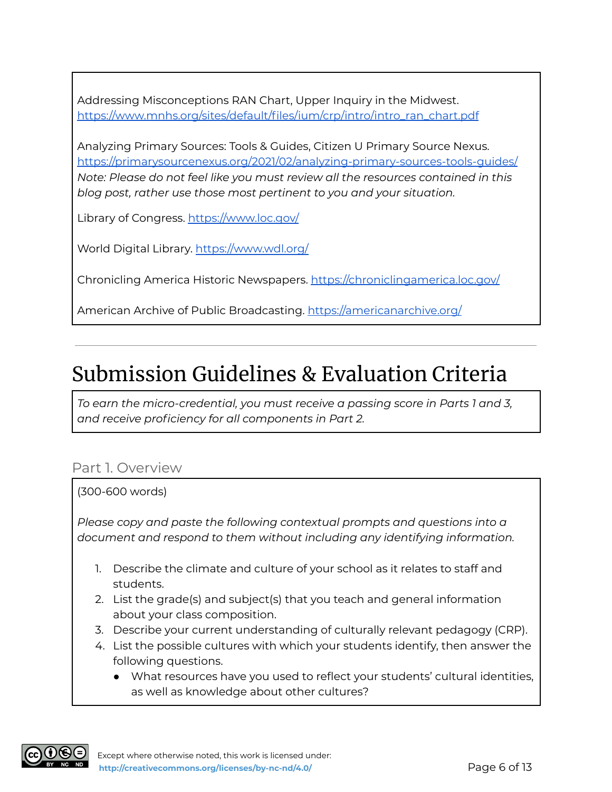Addressing Misconceptions RAN Chart, Upper Inquiry in the Midwest. [https://www.mnhs.org/sites/default/files/ium/crp/intro/intro\\_ran\\_chart.pdf](https://www.mnhs.org/sites/default/files/ium/crp/intro/intro_ran_chart.pdf)

Analyzing Primary Sources: Tools & Guides, Citizen U Primary Source Nexus. <https://primarysourcenexus.org/2021/02/analyzing-primary-sources-tools-guides/> *Note: Please do not feel like you must review all the resources contained in this blog post, rather use those most pertinent to you and your situation.*

Library of Congress. <https://www.loc.gov/>

World Digital Library. <https://www.wdl.org/>

Chronicling America Historic Newspapers. <https://chroniclingamerica.loc.gov/>

American Archive of Public Broadcasting. <https://americanarchive.org/>

### Submission Guidelines & Evaluation Criteria

*To earn the micro-credential, you must receive a passing score in Parts 1 and 3, and receive proficiency for all components in Part 2.*

#### Part 1. Overview

#### (300-600 words)

*Please copy and paste the following contextual prompts and questions into a document and respond to them without including any identifying information.*

- 1. Describe the climate and culture of your school as it relates to staff and students.
- 2. List the grade(s) and subject(s) that you teach and general information about your class composition.
- 3. Describe your current understanding of culturally relevant pedagogy (CRP).
- 4. List the possible cultures with which your students identify, then answer the following questions.
	- What resources have you used to reflect your students' cultural identities, as well as knowledge about other cultures?

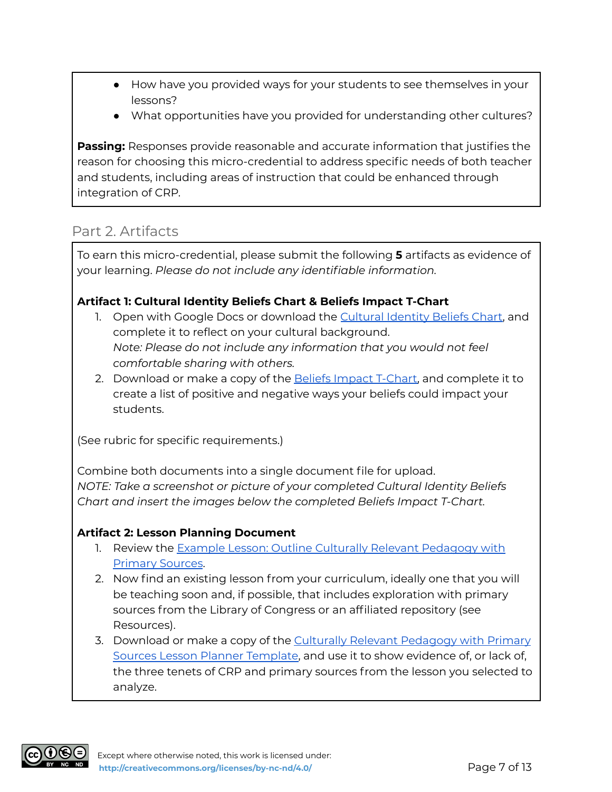- How have you provided ways for your students to see themselves in your lessons?
- What opportunities have you provided for understanding other cultures?

**Passing:** Responses provide reasonable and accurate information that justifies the reason for choosing this micro-credential to address specific needs of both teacher and students, including areas of instruction that could be enhanced through integration of CRP.

#### Part 2. Artifacts

To earn this micro-credential, please submit the following **5** artifacts as evidence of your learning. *Please do not include any identifiable information.*

#### **Artifact 1: Cultural Identity Beliefs Chart & Beliefs Impact T-Chart**

- 1. Open with Google Docs or download the [Cultural](https://drive.google.com/file/d/1gg8I_wJtm1YVhzd1iv-72qouHkjNb37E/view) Identity Beliefs Chart, and complete it to reflect on your cultural background. *Note: Please do not include any information that you would not feel comfortable sharing with others.*
- 2. Download or make a copy of the **Beliefs Impact T-Chart**, and complete it to create a list of positive and negative ways your beliefs could impact your students.

(See rubric for specific requirements.)

Combine both documents into a single document file for upload. *NOTE: Take a screenshot or picture of your completed Cultural Identity Beliefs Chart and insert the images below the completed Beliefs Impact T-Chart.*

#### **Artifact 2: Lesson Planning Document**

- 1. Review the Example Lesson: Outline Culturally Relevant [Pedagogy](https://docs.google.com/document/d/1PdtlfpKv6tPABu60KDPKkS6h6xw4keFxgILrvY0jYAY/view) with [Primary](https://docs.google.com/document/d/1PdtlfpKv6tPABu60KDPKkS6h6xw4keFxgILrvY0jYAY/view) Sources.
- 2. Now find an existing lesson from your curriculum, ideally one that you will be teaching soon and, if possible, that includes exploration with primary sources from the Library of Congress or an affiliated repository (see Resources).
- 3. Download or make a copy of the Culturally Relevant [Pedagogy](https://docs.google.com/document/d/1p0VYQTqzAYa7xJ45IJ23zpqxMQv4ljU4zB0tZ7_Y85c/view) with Primary Sources Lesson Planner [Template,](https://docs.google.com/document/d/1p0VYQTqzAYa7xJ45IJ23zpqxMQv4ljU4zB0tZ7_Y85c/view) and use it to show evidence of, or lack of, the three tenets of CRP and primary sources from the lesson you selected to analyze.

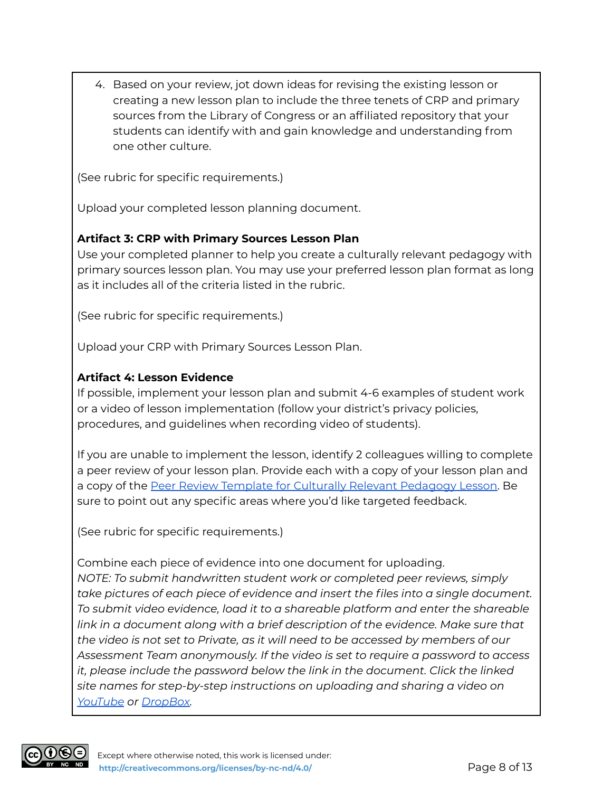4. Based on your review, jot down ideas for revising the existing lesson or creating a new lesson plan to include the three tenets of CRP and primary sources from the Library of Congress or an affiliated repository that your students can identify with and gain knowledge and understanding from one other culture.

(See rubric for specific requirements.)

Upload your completed lesson planning document.

#### **Artifact 3: CRP with Primary Sources Lesson Plan**

Use your completed planner to help you create a culturally relevant pedagogy with primary sources lesson plan. You may use your preferred lesson plan format as long as it includes all of the criteria listed in the rubric.

(See rubric for specific requirements.)

Upload your CRP with Primary Sources Lesson Plan.

#### **Artifact 4: Lesson Evidence**

If possible, implement your lesson plan and submit 4-6 examples of student work or a video of lesson implementation (follow your district's privacy policies, procedures, and guidelines when recording video of students).

If you are unable to implement the lesson, identify 2 colleagues willing to complete a peer review of your lesson plan. Provide each with a copy of your lesson plan and a copy of the Peer Review Template for Culturally Relevant [Pedagogy](https://docs.google.com/document/d/1DsXcHzQT0x_YXFx6Mvb4F0aDS-RG2AdZZSvLcXmdKmM/view) Lesson. Be sure to point out any specific areas where you'd like targeted feedback.

(See rubric for specific requirements.)

Combine each piece of evidence into one document for uploading. *NOTE: To submit handwritten student work or completed peer reviews, simply take pictures of each piece of evidence and insert the files into a single document. To submit video evidence, load it to a shareable platform and enter the shareable link in a document along with a brief description of the evidence. Make sure that the video is not set to Private, as it will need to be accessed by members of our Assessment Team anonymously. If the video is set to require a password to access it, please include the password below the link in the document. Click the linked site names for step-by-step instructions on uploading and sharing a video on [YouTube](https://www.youtube.com/watch?v=6C4dEpT0rYg&feature=emb_title) or [DropBox](https://help.dropbox.com/files-folders/share/share-with-others).*

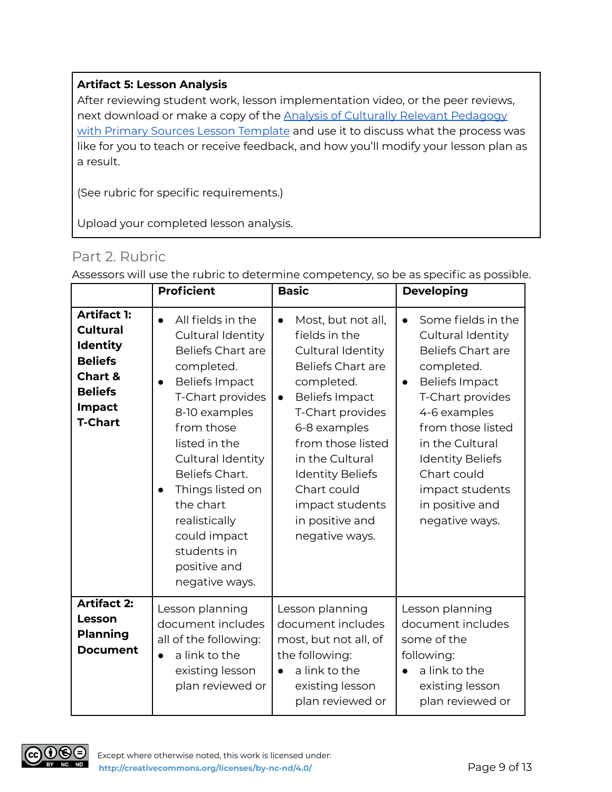#### **Artifact 5: Lesson Analysis**

After reviewing student work, lesson implementation video, or the peer reviews, next download or make a copy of the Analysis of Culturally Relevant [Pedagogy](https://docs.google.com/document/d/1eiNa9iYTY6SzMhw_VpFUp70yaCb5x8LCLfhZtrbbGlQ/view) with Primary Sources Lesson [Template](https://docs.google.com/document/d/1eiNa9iYTY6SzMhw_VpFUp70yaCb5x8LCLfhZtrbbGlQ/view) and use it to discuss what the process was like for you to teach or receive feedback, and how you'll modify your lesson plan as a result.

(See rubric for specific requirements.)

Upload your completed lesson analysis.

#### Part 2. Rubric

|                                                                                                                                                | <b>Proficient</b>                                                                                                                                                                                                                                                                                                                                                 | <b>Basic</b>                                                                                                                                                                                                                                                                                                                        | <b>Developing</b>                                                                                                                                                                                                                                                                                     |
|------------------------------------------------------------------------------------------------------------------------------------------------|-------------------------------------------------------------------------------------------------------------------------------------------------------------------------------------------------------------------------------------------------------------------------------------------------------------------------------------------------------------------|-------------------------------------------------------------------------------------------------------------------------------------------------------------------------------------------------------------------------------------------------------------------------------------------------------------------------------------|-------------------------------------------------------------------------------------------------------------------------------------------------------------------------------------------------------------------------------------------------------------------------------------------------------|
| <b>Artifact 1:</b><br><b>Cultural</b><br><b>Identity</b><br><b>Beliefs</b><br><b>Chart &amp;</b><br><b>Beliefs</b><br>Impact<br><b>T-Chart</b> | All fields in the<br>Cultural Identity<br><b>Beliefs Chart are</b><br>completed.<br><b>Beliefs Impact</b><br>$\bullet$<br>T-Chart provides<br>8-10 examples<br>from those<br>listed in the<br>Cultural Identity<br>Beliefs Chart.<br>Things listed on<br>$\bullet$<br>the chart<br>realistically<br>could impact<br>students in<br>positive and<br>negative ways. | Most, but not all,<br>$\bullet$<br>fields in the<br>Cultural Identity<br><b>Beliefs Chart are</b><br>completed.<br><b>Beliefs Impact</b><br>$\bullet$<br>T-Chart provides<br>6-8 examples<br>from those listed<br>in the Cultural<br><b>Identity Beliefs</b><br>Chart could<br>impact students<br>in positive and<br>negative ways. | Some fields in the<br>Cultural Identity<br><b>Beliefs Chart are</b><br>completed.<br><b>Beliefs Impact</b><br>$\bullet$<br>T-Chart provides<br>4-6 examples<br>from those listed<br>in the Cultural<br><b>Identity Beliefs</b><br>Chart could<br>impact students<br>in positive and<br>negative ways. |
| <b>Artifact 2:</b><br>Lesson<br><b>Planning</b><br><b>Document</b>                                                                             | Lesson planning<br>document includes<br>all of the following:<br>a link to the<br>$\bullet$<br>existing lesson<br>plan reviewed or                                                                                                                                                                                                                                | Lesson planning<br>document includes<br>most, but not all, of<br>the following:<br>a link to the<br>$\bullet$<br>existing lesson<br>plan reviewed or                                                                                                                                                                                | Lesson planning<br>document includes<br>some of the<br>following:<br>a link to the<br>$\bullet$<br>existing lesson<br>plan reviewed or                                                                                                                                                                |

Assessors will use the rubric to determine competency, so be as specific as possible.

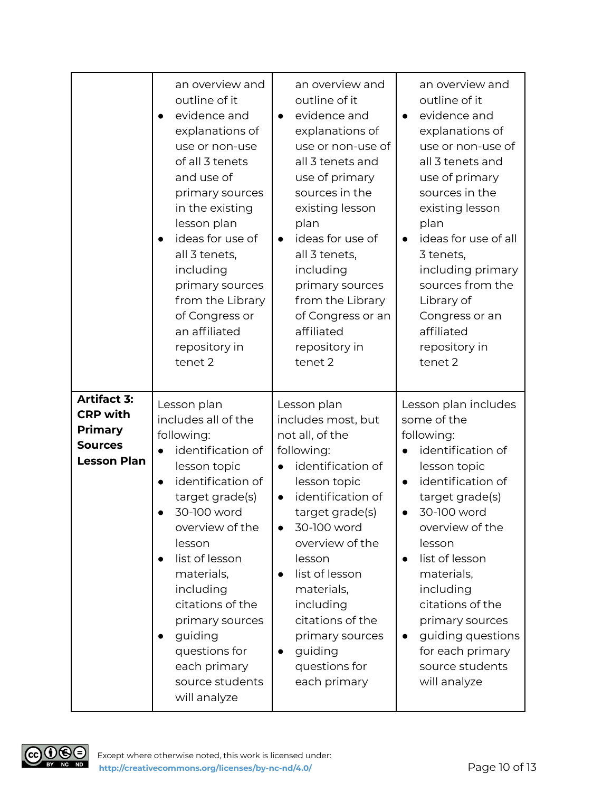|                                                                                                 | an overview and<br>outline of it<br>evidence and<br>explanations of<br>use or non-use<br>of all 3 tenets<br>and use of<br>primary sources<br>in the existing<br>lesson plan<br>ideas for use of<br>all 3 tenets,<br>including<br>primary sources<br>from the Library<br>of Congress or<br>an affiliated<br>repository in<br>tenet 2                                                              | an overview and<br>outline of it<br>evidence and<br>$\bullet$<br>explanations of<br>use or non-use of<br>all 3 tenets and<br>use of primary<br>sources in the<br>existing lesson<br>plan<br>ideas for use of<br>$\bullet$<br>all 3 tenets,<br>including<br>primary sources<br>from the Library<br>of Congress or an<br>affiliated<br>repository in<br>tenet 2      | an overview and<br>outline of it<br>evidence and<br>$\bullet$<br>explanations of<br>use or non-use of<br>all 3 tenets and<br>use of primary<br>sources in the<br>existing lesson<br>plan<br>ideas for use of all<br>$\bullet$<br>3 tenets,<br>including primary<br>sources from the<br>Library of<br>Congress or an<br>affiliated<br>repository in<br>tenet 2                                  |
|-------------------------------------------------------------------------------------------------|--------------------------------------------------------------------------------------------------------------------------------------------------------------------------------------------------------------------------------------------------------------------------------------------------------------------------------------------------------------------------------------------------|--------------------------------------------------------------------------------------------------------------------------------------------------------------------------------------------------------------------------------------------------------------------------------------------------------------------------------------------------------------------|------------------------------------------------------------------------------------------------------------------------------------------------------------------------------------------------------------------------------------------------------------------------------------------------------------------------------------------------------------------------------------------------|
| <b>Artifact 3:</b><br><b>CRP with</b><br><b>Primary</b><br><b>Sources</b><br><b>Lesson Plan</b> | Lesson plan<br>includes all of the<br>following:<br>identification of<br>$\bullet$<br>lesson topic<br>identification of<br>$\bullet$<br>target grade(s)<br>30-100 word<br>overview of the<br>lesson<br>list of lesson<br>$\bullet$<br>materials,<br>including<br>citations of the<br>primary sources<br>guiding<br>$\bullet$<br>questions for<br>each primary<br>source students<br>will analyze | Lesson plan<br>includes most, but<br>not all, of the<br>following:<br>identification of<br>lesson topic<br>identification of<br>$\bullet$<br>target grade(s)<br>30-100 word<br>$\bullet$<br>overview of the<br>lesson<br>list of lesson<br>materials,<br>including<br>citations of the<br>primary sources<br>guiding<br>$\bullet$<br>questions for<br>each primary | Lesson plan includes<br>some of the<br>following:<br>identification of<br>$\bullet$<br>lesson topic<br>identification of<br>$\bullet$<br>target grade(s)<br>30-100 word<br>overview of the<br>lesson<br>list of lesson<br>$\bullet$<br>materials,<br>including<br>citations of the<br>primary sources<br>guiding questions<br>$\bullet$<br>for each primary<br>source students<br>will analyze |

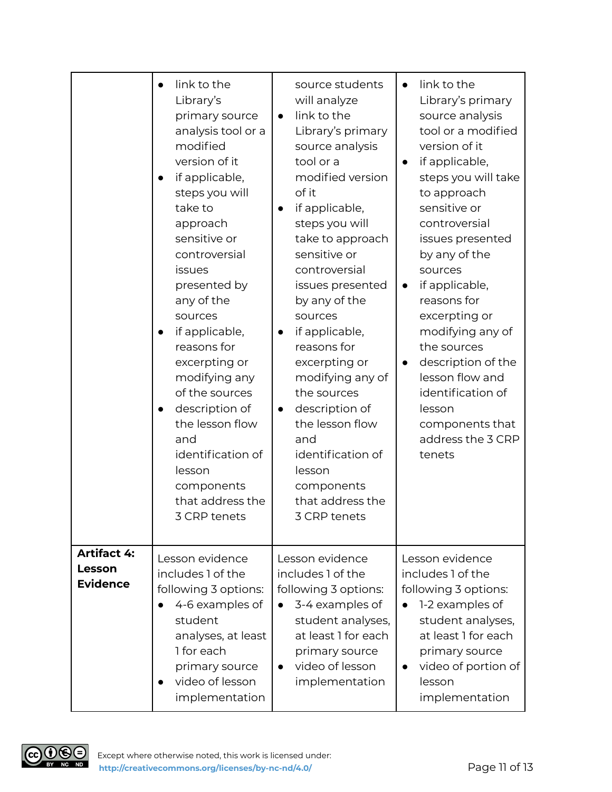|                                                 | link to the<br>Library's<br>primary source<br>analysis tool or a<br>modified<br>version of it<br>if applicable,<br>steps you will<br>take to<br>approach<br>sensitive or<br>controversial<br>issues<br>presented by<br>any of the<br>sources<br>if applicable,<br>reasons for<br>excerpting or<br>modifying any<br>of the sources<br>description of<br>the lesson flow<br>and<br>identification of<br>lesson<br>components<br>that address the<br>3 CRP tenets | source students<br>will analyze<br>link to the<br>$\bullet$<br>Library's primary<br>source analysis<br>tool or a<br>modified version<br>of it<br>if applicable,<br>$\bullet$<br>steps you will<br>take to approach<br>sensitive or<br>controversial<br>issues presented<br>by any of the<br>sources<br>if applicable,<br>$\bullet$<br>reasons for<br>excerpting or<br>modifying any of<br>the sources<br>description of<br>$\bullet$<br>the lesson flow<br>and<br>identification of<br>lesson<br>components<br>that address the<br>3 CRP tenets | link to the<br>$\bullet$<br>Library's primary<br>source analysis<br>tool or a modified<br>version of it<br>if applicable,<br>steps you will take<br>to approach<br>sensitive or<br>controversial<br>issues presented<br>by any of the<br>sources<br>if applicable,<br>$\bullet$<br>reasons for<br>excerpting or<br>modifying any of<br>the sources<br>description of the<br>$\bullet$<br>lesson flow and<br>identification of<br>lesson<br>components that<br>address the 3 CRP<br>tenets |
|-------------------------------------------------|----------------------------------------------------------------------------------------------------------------------------------------------------------------------------------------------------------------------------------------------------------------------------------------------------------------------------------------------------------------------------------------------------------------------------------------------------------------|-------------------------------------------------------------------------------------------------------------------------------------------------------------------------------------------------------------------------------------------------------------------------------------------------------------------------------------------------------------------------------------------------------------------------------------------------------------------------------------------------------------------------------------------------|-------------------------------------------------------------------------------------------------------------------------------------------------------------------------------------------------------------------------------------------------------------------------------------------------------------------------------------------------------------------------------------------------------------------------------------------------------------------------------------------|
| <b>Artifact 4:</b><br>Lesson<br><b>Evidence</b> | Lesson evidence<br>includes 1 of the<br>following 3 options:<br>4-6 examples of<br>student<br>analyses, at least<br>1 for each<br>primary source<br>video of lesson<br>implementation                                                                                                                                                                                                                                                                          | Lesson evidence<br>includes 1 of the<br>following 3 options:<br>3-4 examples of<br>$\bullet$<br>student analyses,<br>at least 1 for each<br>primary source<br>video of lesson<br>$\bullet$<br>implementation                                                                                                                                                                                                                                                                                                                                    | Lesson evidence<br>includes 1 of the<br>following 3 options:<br>1-2 examples of<br>student analyses,<br>at least 1 for each<br>primary source<br>video of portion of<br>$\bullet$<br>lesson<br>implementation                                                                                                                                                                                                                                                                             |

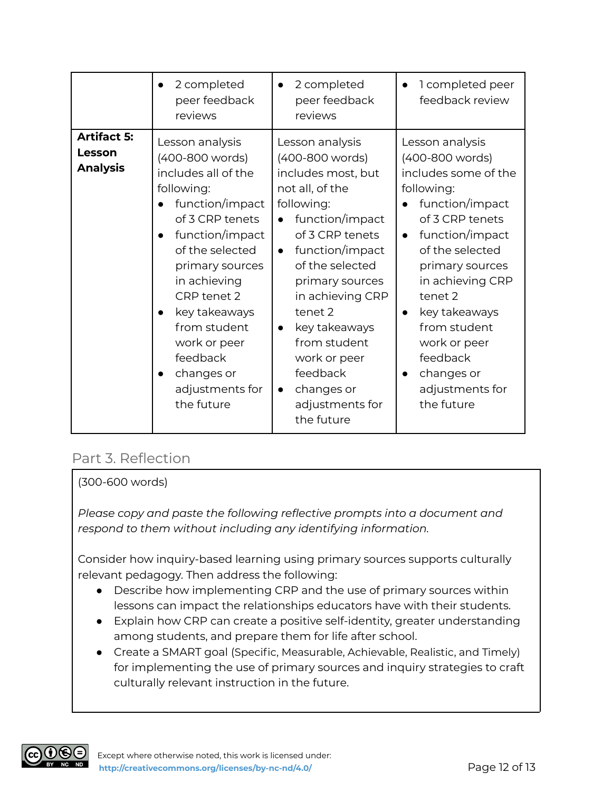|                                                 | 2 completed<br>peer feedback<br>reviews                                                                                                                                                                                                                                                                           | 2 completed<br>$\bullet$<br>peer feedback<br>reviews                                                                                                                                                                                                                                                                                                                                    | 1 completed peer<br>feedback review                                                                                                                                                                                                                                                                                             |
|-------------------------------------------------|-------------------------------------------------------------------------------------------------------------------------------------------------------------------------------------------------------------------------------------------------------------------------------------------------------------------|-----------------------------------------------------------------------------------------------------------------------------------------------------------------------------------------------------------------------------------------------------------------------------------------------------------------------------------------------------------------------------------------|---------------------------------------------------------------------------------------------------------------------------------------------------------------------------------------------------------------------------------------------------------------------------------------------------------------------------------|
| <b>Artifact 5:</b><br>Lesson<br><b>Analysis</b> | Lesson analysis<br>(400-800 words)<br>includes all of the<br>following:<br>function/impact<br>of 3 CRP tenets<br>function/impact<br>of the selected<br>primary sources<br>in achieving<br>CRP tenet 2<br>key takeaways<br>from student<br>work or peer<br>feedback<br>changes or<br>adjustments for<br>the future | Lesson analysis<br>(400-800 words)<br>includes most, but<br>not all, of the<br>following:<br>function/impact<br>$\bullet$<br>of 3 CRP tenets<br>function/impact<br>$\bullet$<br>of the selected<br>primary sources<br>in achieving CRP<br>tenet 2<br>key takeaways<br>$\bullet$<br>from student<br>work or peer<br>feedback<br>changes or<br>$\bullet$<br>adjustments for<br>the future | Lesson analysis<br>(400-800 words)<br>includes some of the<br>following:<br>function/impact<br>of 3 CRP tenets<br>function/impact<br>$\bullet$<br>of the selected<br>primary sources<br>in achieving CRP<br>tenet 2<br>key takeaways<br>from student<br>work or peer<br>feedback<br>changes or<br>adjustments for<br>the future |

#### Part 3. Reflection

#### (300-600 words)

*Please copy and paste the following reflective prompts into a document and respond to them without including any identifying information.*

Consider how inquiry-based learning using primary sources supports culturally relevant pedagogy. Then address the following:

- Describe how implementing CRP and the use of primary sources within lessons can impact the relationships educators have with their students.
- Explain how CRP can create a positive self-identity, greater understanding among students, and prepare them for life after school.
- Create a SMART goal (Specific, Measurable, Achievable, Realistic, and Timely) for implementing the use of primary sources and inquiry strategies to craft culturally relevant instruction in the future.